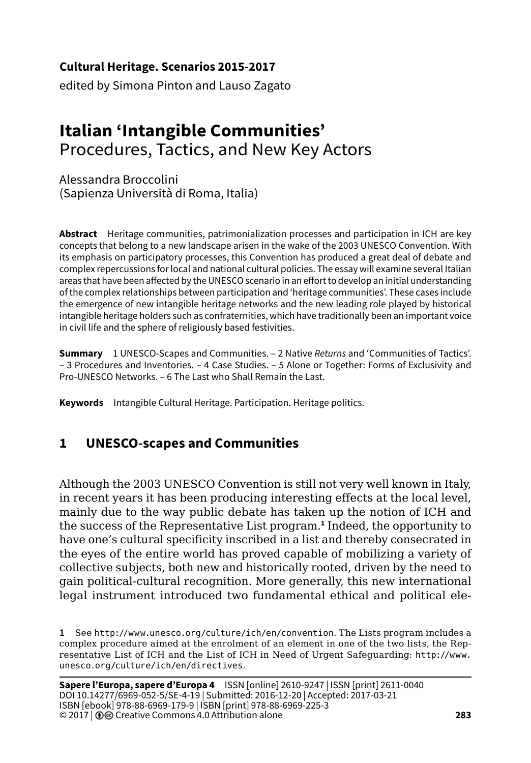**Cultural Heritage. Scenarios 2015-2017**

edited by Simona Pinton and Lauso Zagato

# **Italian 'Intangible Communities'**  Procedures, Tactics, and New Key Actors

Alessandra Broccolini (Sapienza Università di Roma, Italia)

**Abstract** Heritage communities, patrimonialization processes and participation in ICH are key concepts that belong to a new landscape arisen in the wake of the 2003 UNESCO Convention. With its emphasis on participatory processes, this Convention has produced a great deal of debate and complex repercussions for local and national cultural policies. The essay will examine several Italian areas that have been affected by the UNESCO scenario in an effort to develop an initial understanding of the complex relationships between participation and 'heritage communities'. These cases include the emergence of new intangible heritage networks and the new leading role played by historical intangible heritage holders such as confraternities, which have traditionally been an important voice in civil life and the sphere of religiously based festivities.

**Summary** 1 UNESCO-Scapes and Communities. – 2 Native *Returns* and 'Communities of Tactics'. – 3 Procedures and Inventories. – 4 Case Studies. – 5 Alone or Together: Forms of Exclusivity and Pro-UNESCO Networks. – 6 The Last who Shall Remain the Last.

**Keywords** Intangible Cultural Heritage. Participation. Heritage politics.

# **1 UNESCO***-***scapes and Communities**

Although the 2003 UNESCO Convention is still not very well known in Italy, in recent years it has been producing interesting effects at the local level, mainly due to the way public debate has taken up the notion of ICH and the success of the Representative List program.**<sup>1</sup>** Indeed, the opportunity to have one's cultural specificity inscribed in a list and thereby consecrated in the eyes of the entire world has proved capable of mobilizing a variety of collective subjects, both new and historically rooted, driven by the need to gain political-cultural recognition. More generally, this new international legal instrument introduced two fundamental ethical and political ele-

**<sup>1</sup>** See http://[www.unesco.org/culture/ich/en/convention](http://www.unesco.org/culture/ich/en/convention). The Lists program includes a complex procedure aimed at the enrolment of an element in one of the two lists, the Representative List of ICH and the List of ICH in Need of Urgent Safeguarding: http:/[/www.](http://www.unesco.org/culture/ich/en/directives) [unesco.org/culture/ich/en/directives](http://www.unesco.org/culture/ich/en/directives).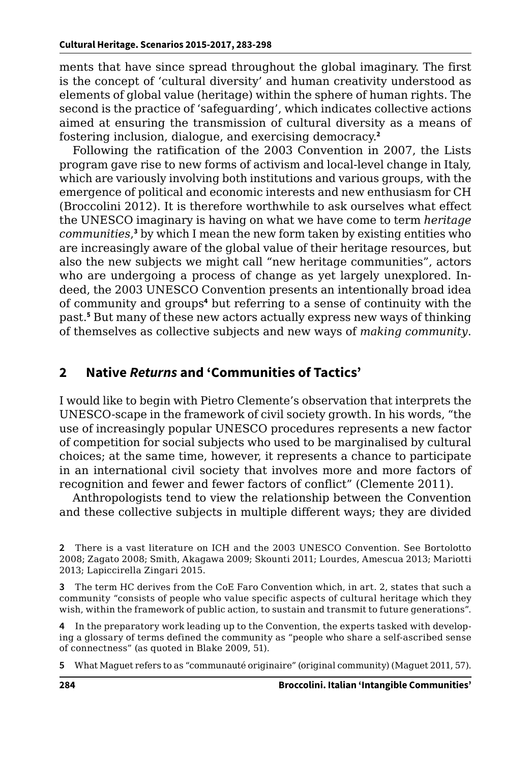ments that have since spread throughout the global imaginary. The first is the concept of 'cultural diversity' and human creativity understood as elements of global value (heritage) within the sphere of human rights. The second is the practice of 'safeguarding', which indicates collective actions aimed at ensuring the transmission of cultural diversity as a means of fostering inclusion, dialogue, and exercising democracy.**<sup>2</sup>**

Following the ratification of the 2003 Convention in 2007, the Lists program gave rise to new forms of activism and local-level change in Italy, which are variously involving both institutions and various groups, with the emergence of political and economic interests and new enthusiasm for CH (Broccolini 2012). It is therefore worthwhile to ask ourselves what effect the UNESCO imaginary is having on what we have come to term *heritage*  communities,<sup>3</sup> by which I mean the new form taken by existing entities who are increasingly aware of the global value of their heritage resources, but also the new subjects we might call "new heritage communities", actors who are undergoing a process of change as yet largely unexplored. Indeed, the 2003 UNESCO Convention presents an intentionally broad idea of community and groups**<sup>4</sup>** but referring to a sense of continuity with the past.**<sup>5</sup>** But many of these new actors actually express new ways of thinking of themselves as collective subjects and new ways of *making community*.

#### **2 Native** *Returns* **and 'Communities of Tactics'**

I would like to begin with Pietro Clemente's observation that interprets the UNESCO-scape in the framework of civil society growth. In his words, "the use of increasingly popular UNESCO procedures represents a new factor of competition for social subjects who used to be marginalised by cultural choices; at the same time, however, it represents a chance to participate in an international civil society that involves more and more factors of recognition and fewer and fewer factors of conflict" (Clemente 2011).

Anthropologists tend to view the relationship between the Convention and these collective subjects in multiple different ways; they are divided

**2** There is a vast literature on ICH and the 2003 UNESCO Convention. See Bortolotto 2008; Zagato 2008; Smith, Akagawa 2009; Skounti 2011; Lourdes, Amescua 2013; Mariotti 2013; Lapiccirella Zingari 2015.

**3** The term HC derives from the CoE Faro Convention which, in art. 2, states that such a community "consists of people who value specific aspects of cultural heritage which they wish, within the framework of public action, to sustain and transmit to future generations".

**4** In the preparatory work leading up to the Convention, the experts tasked with developing a glossary of terms defined the community as "people who share a self-ascribed sense of connectness" (as quoted in Blake 2009, 51).

**5** What Maguet refers to as "communauté originaire" (original community) (Maguet 2011, 57).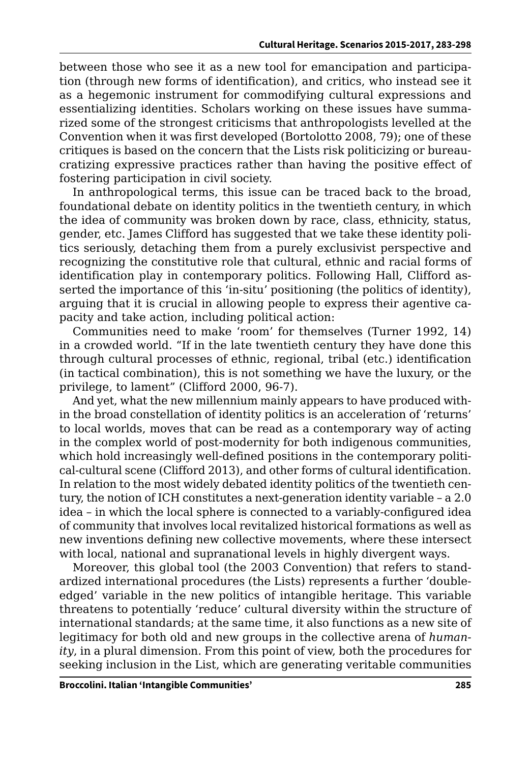between those who see it as a new tool for emancipation and participation (through new forms of identification), and critics, who instead see it as a hegemonic instrument for commodifying cultural expressions and essentializing identities. Scholars working on these issues have summarized some of the strongest criticisms that anthropologists levelled at the Convention when it was first developed (Bortolotto 2008, 79); one of these critiques is based on the concern that the Lists risk politicizing or bureaucratizing expressive practices rather than having the positive effect of fostering participation in civil society.

In anthropological terms, this issue can be traced back to the broad, foundational debate on identity politics in the twentieth century, in which the idea of community was broken down by race, class, ethnicity, status, gender, etc. James Clifford has suggested that we take these identity politics seriously, detaching them from a purely exclusivist perspective and recognizing the constitutive role that cultural, ethnic and racial forms of identification play in contemporary politics. Following Hall, Clifford asserted the importance of this 'in-situ' positioning (the politics of identity), arguing that it is crucial in allowing people to express their agentive capacity and take action, including political action:

Communities need to make 'room' for themselves (Turner 1992, 14) in a crowded world. "If in the late twentieth century they have done this through cultural processes of ethnic, regional, tribal (etc.) identification (in tactical combination), this is not something we have the luxury, or the privilege, to lament" (Clifford 2000, 96-7).

And yet, what the new millennium mainly appears to have produced within the broad constellation of identity politics is an acceleration of 'returns' to local worlds, moves that can be read as a contemporary way of acting in the complex world of post-modernity for both indigenous communities, which hold increasingly well-defined positions in the contemporary political-cultural scene (Clifford 2013), and other forms of cultural identification. In relation to the most widely debated identity politics of the twentieth century, the notion of ICH constitutes a next-generation identity variable – a 2.0 idea – in which the local sphere is connected to a variably-configured idea of community that involves local revitalized historical formations as well as new inventions defining new collective movements, where these intersect with local, national and supranational levels in highly divergent ways.

Moreover, this global tool (the 2003 Convention) that refers to standardized international procedures (the Lists) represents a further 'doubleedged' variable in the new politics of intangible heritage. This variable threatens to potentially 'reduce' cultural diversity within the structure of international standards; at the same time, it also functions as a new site of legitimacy for both old and new groups in the collective arena of *humanity*, in a plural dimension. From this point of view, both the procedures for seeking inclusion in the List, which are generating veritable communities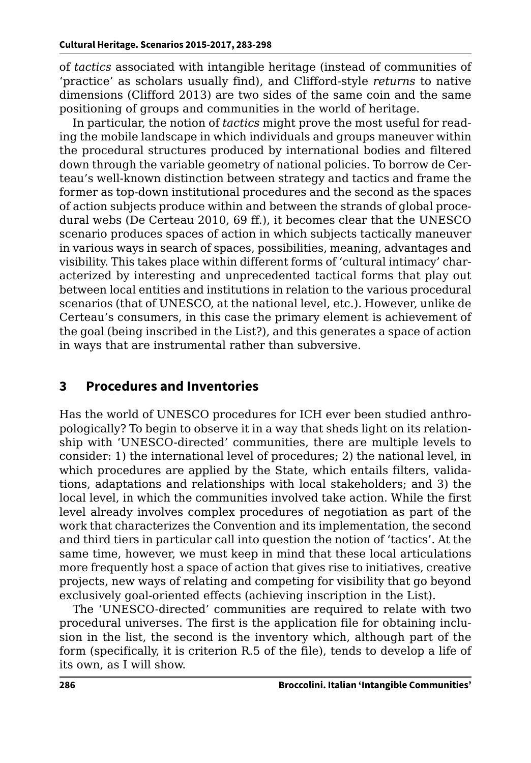of *tactics* associated with intangible heritage (instead of communities of 'practice' as scholars usually find), and Clifford-style *returns* to native dimensions (Clifford 2013) are two sides of the same coin and the same positioning of groups and communities in the world of heritage.

In particular, the notion of *tactics* might prove the most useful for reading the mobile landscape in which individuals and groups maneuver within the procedural structures produced by international bodies and filtered down through the variable geometry of national policies. To borrow de Certeau's well-known distinction between strategy and tactics and frame the former as top-down institutional procedures and the second as the spaces of action subjects produce within and between the strands of global procedural webs (De Certeau 2010, 69 ff.), it becomes clear that the UNESCO scenario produces spaces of action in which subjects tactically maneuver in various ways in search of spaces, possibilities, meaning, advantages and visibility. This takes place within different forms of 'cultural intimacy' characterized by interesting and unprecedented tactical forms that play out between local entities and institutions in relation to the various procedural scenarios (that of UNESCO, at the national level, etc.). However, unlike de Certeau's consumers, in this case the primary element is achievement of the goal (being inscribed in the List?), and this generates a space of action in ways that are instrumental rather than subversive.

#### **3 Procedures and Inventories**

Has the world of UNESCO procedures for ICH ever been studied anthropologically? To begin to observe it in a way that sheds light on its relationship with 'UNESCO-directed' communities, there are multiple levels to consider: 1) the international level of procedures; 2) the national level, in which procedures are applied by the State, which entails filters, validations, adaptations and relationships with local stakeholders; and 3) the local level, in which the communities involved take action. While the first level already involves complex procedures of negotiation as part of the work that characterizes the Convention and its implementation, the second and third tiers in particular call into question the notion of 'tactics'. At the same time, however, we must keep in mind that these local articulations more frequently host a space of action that gives rise to initiatives, creative projects, new ways of relating and competing for visibility that go beyond exclusively goal-oriented effects (achieving inscription in the List).

The 'UNESCO-directed' communities are required to relate with two procedural universes. The first is the application file for obtaining inclusion in the list, the second is the inventory which, although part of the form (specifically, it is criterion R.5 of the file), tends to develop a life of its own, as I will show.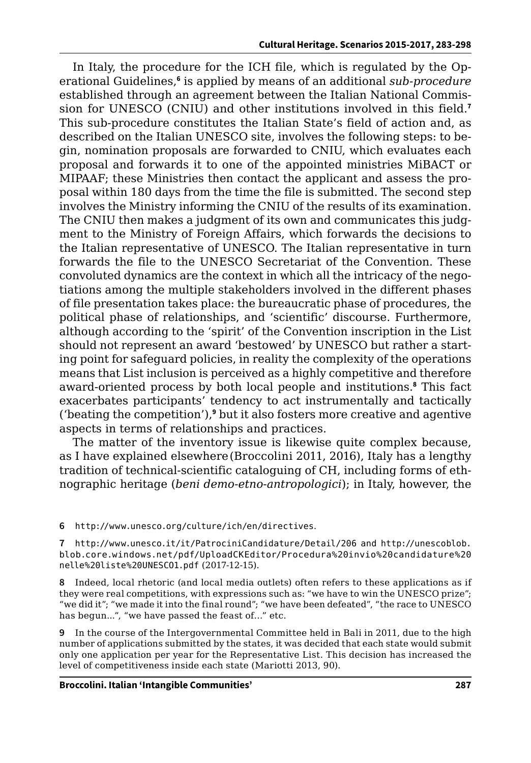In Italy, the procedure for the ICH file, which is regulated by the Operational Guidelines,**<sup>6</sup>** is applied by means of an additional *sub-procedure* established through an agreement between the Italian National Commission for UNESCO (CNIU) and other institutions involved in this field.**<sup>7</sup>** This sub-procedure constitutes the Italian State's field of action and, as described on the Italian UNESCO site, involves the following steps: to begin, nomination proposals are forwarded to CNIU, which evaluates each proposal and forwards it to one of the appointed ministries MiBACT or MIPAAF; these Ministries then contact the applicant and assess the proposal within 180 days from the time the file is submitted. The second step involves the Ministry informing the CNIU of the results of its examination. The CNIU then makes a judgment of its own and communicates this judgment to the Ministry of Foreign Affairs, which forwards the decisions to the Italian representative of UNESCO. The Italian representative in turn forwards the file to the UNESCO Secretariat of the Convention. These convoluted dynamics are the context in which all the intricacy of the negotiations among the multiple stakeholders involved in the different phases of file presentation takes place: the bureaucratic phase of procedures, the political phase of relationships, and 'scientific' discourse. Furthermore, although according to the 'spirit' of the Convention inscription in the List should not represent an award 'bestowed' by UNESCO but rather a starting point for safeguard policies, in reality the complexity of the operations means that List inclusion is perceived as a highly competitive and therefore award-oriented process by both local people and institutions.**<sup>8</sup>** This fact exacerbates participants' tendency to act instrumentally and tactically ('beating the competition'),<sup>9</sup> but it also fosters more creative and agentive aspects in terms of relationships and practices.

The matter of the inventory issue is likewise quite complex because, as I have explained elsewhere(Broccolini 2011, 2016), Italy has a lengthy tradition of technical-scientific cataloguing of CH, including forms of ethnographic heritage (*beni demo-etno-antropologici*); in Italy, however, the

**6** http:/[/www.unesco.org/culture/ich/en/directives](http://www.unesco.org/culture/ich/en/directives).

**7** [http://www.unesco.it/it/PatrociniCandidature/Detail/206 and http://unescoblob.](http://unescoblob.blob.core.windows.net/pdf/UploadCKEditor/Procedura%20invio%20candidature%20nelle%20liste%20UNESCO1.pdf) [blob.core.windows.net/pdf/UploadCKEditor/Procedura%20invio%20candidature%20](http://unescoblob.blob.core.windows.net/pdf/UploadCKEditor/Procedura%20invio%20candidature%20nelle%20liste%20UNESCO1.pdf) [nelle%20liste%20UNESCO1.pdf](http://unescoblob.blob.core.windows.net/pdf/UploadCKEditor/Procedura%20invio%20candidature%20nelle%20liste%20UNESCO1.pdf) (2017-12-15).

**8** Indeed, local rhetoric (and local media outlets) often refers to these applications as if they were real competitions, with expressions such as: "we have to win the UNESCO prize"; "we did it"; "we made it into the final round"; "we have been defeated", "the race to UNESCO has begun...", "we have passed the feast of…" etc.

**9** In the course of the Intergovernmental Committee held in Bali in 2011, due to the high number of applications submitted by the states, it was decided that each state would submit only one application per year for the Representative List. This decision has increased the level of competitiveness inside each state (Mariotti 2013, 90).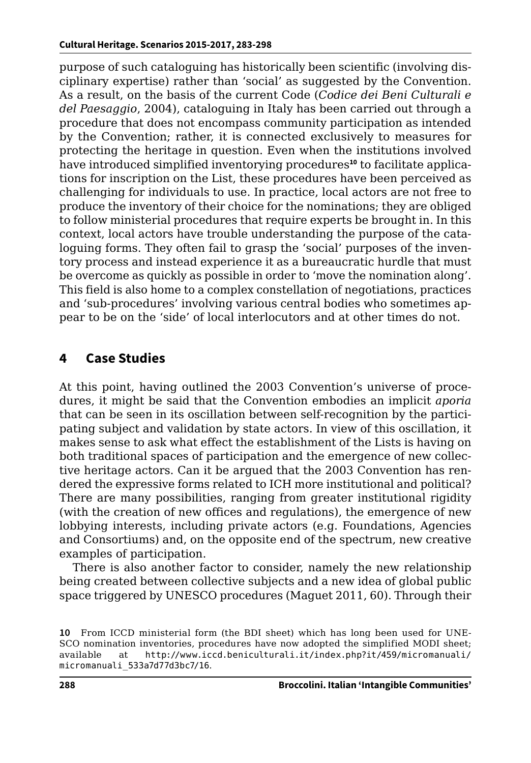purpose of such cataloguing has historically been scientific (involving disciplinary expertise) rather than 'social' as suggested by the Convention. As a result, on the basis of the current Code (*Codice dei Beni Culturali e del Paesaggio*, 2004), cataloguing in Italy has been carried out through a procedure that does not encompass community participation as intended by the Convention; rather, it is connected exclusively to measures for protecting the heritage in question. Even when the institutions involved have introduced simplified inventorying procedures**10** to facilitate applications for inscription on the List, these procedures have been perceived as challenging for individuals to use. In practice, local actors are not free to produce the inventory of their choice for the nominations; they are obliged to follow ministerial procedures that require experts be brought in. In this context, local actors have trouble understanding the purpose of the cataloguing forms. They often fail to grasp the 'social' purposes of the inventory process and instead experience it as a bureaucratic hurdle that must be overcome as quickly as possible in order to 'move the nomination along'. This field is also home to a complex constellation of negotiations, practices and 'sub-procedures' involving various central bodies who sometimes appear to be on the 'side' of local interlocutors and at other times do not.

### **4 Case Studies**

At this point, having outlined the 2003 Convention's universe of procedures, it might be said that the Convention embodies an implicit *aporia* that can be seen in its oscillation between self-recognition by the participating subject and validation by state actors. In view of this oscillation, it makes sense to ask what effect the establishment of the Lists is having on both traditional spaces of participation and the emergence of new collective heritage actors. Can it be argued that the 2003 Convention has rendered the expressive forms related to ICH more institutional and political? There are many possibilities, ranging from greater institutional rigidity (with the creation of new offices and regulations), the emergence of new lobbying interests, including private actors (e.g. Foundations, Agencies and Consortiums) and, on the opposite end of the spectrum, new creative examples of participation.

There is also another factor to consider, namely the new relationship being created between collective subjects and a new idea of global public space triggered by UNESCO procedures (Maguet 2011, 60). Through their

**<sup>10</sup>** From ICCD ministerial form (the BDI sheet) which has long been used for UNE-SCO nomination inventories, procedures have now adopted the simplified MODI sheet; available at http://[www.iccd.beniculturali.it/index.php?it/459/micromanuali/](http://www.iccd.beniculturali.it/index.php?it/459/micromanuali/micromanuali_533a7d77d3bc7/16) [micromanuali\\_533a7d77d3bc7/16](http://www.iccd.beniculturali.it/index.php?it/459/micromanuali/micromanuali_533a7d77d3bc7/16).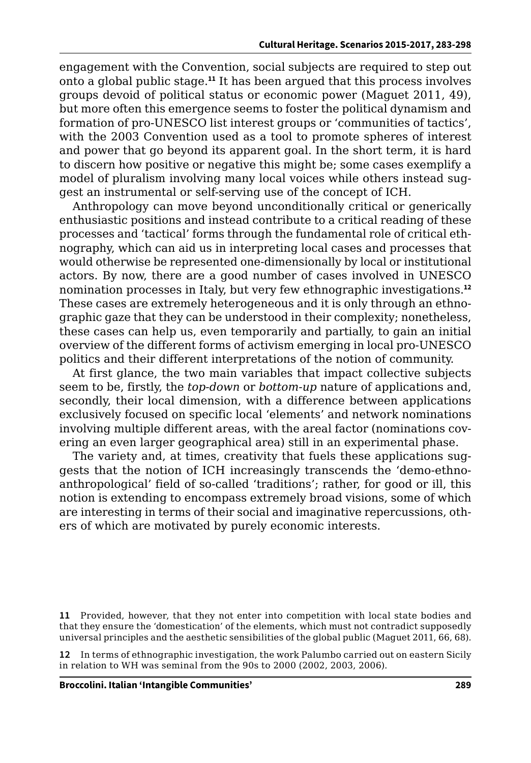engagement with the Convention, social subjects are required to step out onto a global public stage.**<sup>11</sup>** It has been argued that this process involves groups devoid of political status or economic power (Maguet 2011, 49), but more often this emergence seems to foster the political dynamism and formation of pro-UNESCO list interest groups or 'communities of tactics', with the 2003 Convention used as a tool to promote spheres of interest and power that go beyond its apparent goal. In the short term, it is hard to discern how positive or negative this might be; some cases exemplify a model of pluralism involving many local voices while others instead suggest an instrumental or self-serving use of the concept of ICH.

Anthropology can move beyond unconditionally critical or generically enthusiastic positions and instead contribute to a critical reading of these processes and 'tactical' forms through the fundamental role of critical ethnography, which can aid us in interpreting local cases and processes that would otherwise be represented one-dimensionally by local or institutional actors. By now, there are a good number of cases involved in UNESCO nomination processes in Italy, but very few ethnographic investigations.**<sup>12</sup>** These cases are extremely heterogeneous and it is only through an ethnographic gaze that they can be understood in their complexity; nonetheless, these cases can help us, even temporarily and partially, to gain an initial overview of the different forms of activism emerging in local pro-UNESCO politics and their different interpretations of the notion of community.

At first glance, the two main variables that impact collective subjects seem to be, firstly, the *top-down* or *bottom-up* nature of applications and, secondly, their local dimension, with a difference between applications exclusively focused on specific local 'elements' and network nominations involving multiple different areas, with the areal factor (nominations covering an even larger geographical area) still in an experimental phase.

The variety and, at times, creativity that fuels these applications suggests that the notion of ICH increasingly transcends the 'demo-ethnoanthropological' field of so-called 'traditions'; rather, for good or ill, this notion is extending to encompass extremely broad visions, some of which are interesting in terms of their social and imaginative repercussions, others of which are motivated by purely economic interests.

**12** In terms of ethnographic investigation, the work Palumbo carried out on eastern Sicily in relation to WH was seminal from the 90s to 2000 (2002, 2003, 2006).

**<sup>11</sup>** Provided, however, that they not enter into competition with local state bodies and that they ensure the 'domestication' of the elements, which must not contradict supposedly universal principles and the aesthetic sensibilities of the global public (Maguet 2011, 66, 68).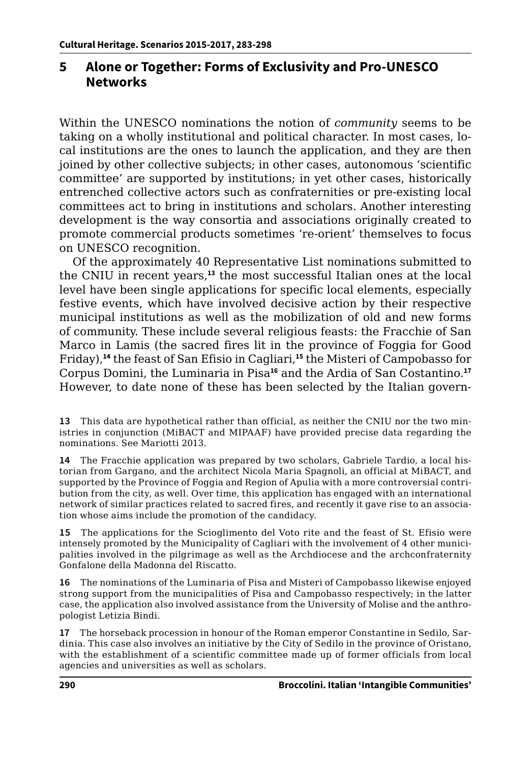### **5 Alone or Together: Forms of Exclusivity and Pro-UNESCO Networks**

Within the UNESCO nominations the notion of *community* seems to be taking on a wholly institutional and political character. In most cases, local institutions are the ones to launch the application, and they are then joined by other collective subjects; in other cases, autonomous 'scientific committee' are supported by institutions; in yet other cases, historically entrenched collective actors such as confraternities or pre-existing local committees act to bring in institutions and scholars. Another interesting development is the way consortia and associations originally created to promote commercial products sometimes 're-orient' themselves to focus on UNESCO recognition.

Of the approximately 40 Representative List nominations submitted to the CNIU in recent years,**<sup>13</sup>** the most successful Italian ones at the local level have been single applications for specific local elements, especially festive events, which have involved decisive action by their respective municipal institutions as well as the mobilization of old and new forms of community. These include several religious feasts: the Fracchie of San Marco in Lamis (the sacred fires lit in the province of Foggia for Good Friday),**<sup>14</sup>** the feast of San Efisio in Cagliari,**<sup>15</sup>** the Misteri of Campobasso for Corpus Domini, the Luminaria in Pisa**<sup>16</sup>** and the Ardia of San Costantino.**<sup>17</sup>** However, to date none of these has been selected by the Italian govern-

**13** This data are hypothetical rather than official, as neither the CNIU nor the two ministries in conjunction (MiBACT and MIPAAF) have provided precise data regarding the nominations. See Mariotti 2013.

**14** The Fracchie application was prepared by two scholars, Gabriele Tardio, a local historian from Gargano, and the architect Nicola Maria Spagnoli, an official at MiBACT, and supported by the Province of Foggia and Region of Apulia with a more controversial contribution from the city, as well. Over time, this application has engaged with an international network of similar practices related to sacred fires, and recently it gave rise to an association whose aims include the promotion of the candidacy.

**15** The applications for the Scioglimento del Voto rite and the feast of St. Efisio were intensely promoted by the Municipality of Cagliari with the involvement of 4 other municipalities involved in the pilgrimage as well as the Archdiocese and the archconfraternity Gonfalone della Madonna del Riscatto.

**16** The nominations of the Luminaria of Pisa and Misteri of Campobasso likewise enjoyed strong support from the municipalities of Pisa and Campobasso respectively; in the latter case, the application also involved assistance from the University of Molise and the anthropologist Letizia Bindi.

**17** The horseback procession in honour of the Roman emperor Constantine in Sedilo, Sardinia. This case also involves an initiative by the City of Sedilo in the province of Oristano, with the establishment of a scientific committee made up of former officials from local agencies and universities as well as scholars.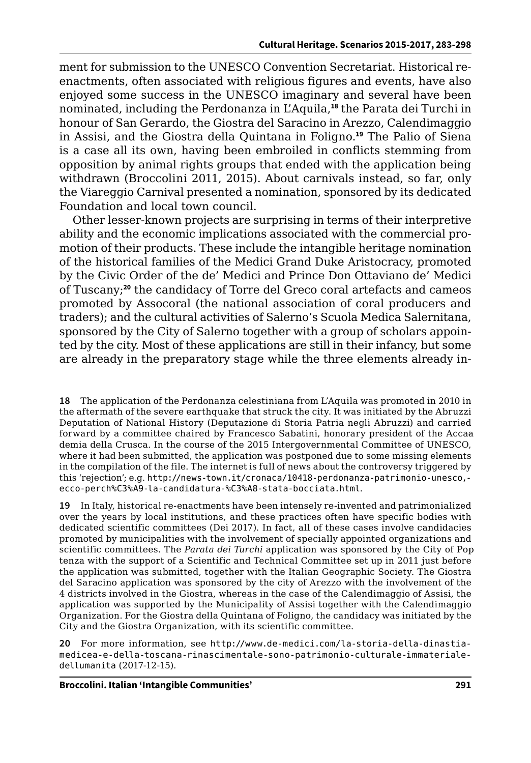ment for submission to the UNESCO Convention Secretariat. Historical reenactments, often associated with religious figures and events, have also enjoyed some success in the UNESCO imaginary and several have been nominated, including the Perdonanza in L'Aquila,**<sup>18</sup>** the Parata dei Turchi in honour of San Gerardo, the Giostra del Saracino in Arezzo, Calendimaggio in Assisi, and the Giostra della Quintana in Foligno.**<sup>19</sup>** The Palio of Siena is a case all its own, having been embroiled in conflicts stemming from opposition by animal rights groups that ended with the application being withdrawn (Broccolini 2011, 2015). About carnivals instead, so far, only the Viareggio Carnival presented a nomination, sponsored by its dedicated Foundation and local town council.

Other lesser-known projects are surprising in terms of their interpretive ability and the economic implications associated with the commercial promotion of their products. These include the intangible heritage nomination of the historical families of the Medici Grand Duke Aristocracy, promoted by the Civic Order of the de' Medici and Prince Don Ottaviano de' Medici of Tuscany;**<sup>20</sup>** the candidacy of Torre del Greco coral artefacts and cameos promoted by Assocoral (the national association of coral producers and traders); and the cultural activities of Salerno's Scuola Medica Salernitana, sponsored by the City of Salerno together with a group of scholars appointed by the city. Most of these applications are still in their infancy, but some are already in the preparatory stage while the three elements already in-

**18** The application of the Perdonanza celestiniana from L'Aquila was promoted in 2010 in the aftermath of the severe earthquake that struck the city. It was initiated by the Abruzzi Deputation of National History (Deputazione di Storia Patria negli Abruzzi) and carried forward by a committee chaired by Francesco Sabatini, honorary president of the Accaademia della Crusca. In the course of the 2015 Intergovernmental Committee of UNESCO, where it had been submitted, the application was postponed due to some missing elements in the compilation of the file. The internet is full of news about the controversy triggered by this 'rejection'; e.g. [http://news-town.it/cronaca/10418-perdonanza-patrimonio-unesco,](http://news-town.it/cronaca/10418-perdonanza-patrimonio-unesco,-ecco-perch%C3%A9-la-candidatura-%C3%A8-stata-bocciata.html) [ecco-perch%C3%A9-la-candidatura-%C3%A8-stata-bocciata.html](http://news-town.it/cronaca/10418-perdonanza-patrimonio-unesco,-ecco-perch%C3%A9-la-candidatura-%C3%A8-stata-bocciata.html).

**19** In Italy, historical re-enactments have been intensely re-invented and patrimonialized over the years by local institutions, and these practices often have specific bodies with dedicated scientific committees (Dei 2017). In fact, all of these cases involve candidacies promoted by municipalities with the involvement of specially appointed organizations and scientific committees. The *Parata dei Turchi* application was sponsored by the City of Poptenza with the support of a Scientific and Technical Committee set up in 2011 just before the application was submitted, together with the Italian Geographic Society. The Giostra del Saracino application was sponsored by the city of Arezzo with the involvement of the 4 districts involved in the Giostra, whereas in the case of the Calendimaggio of Assisi, the application was supported by the Municipality of Assisi together with the Calendimaggio Organization. For the Giostra della Quintana of Foligno, the candidacy was initiated by the City and the Giostra Organization, with its scientific committee.

**20** For more information, see [http://www.de-medici.com/la-storia-della-dinastia](http://www.de-medici.com/la-storia-della-dinastia-medicea-e-della-toscana-rinascimentale-sono-patrim)[medicea-e-della-toscana-rinascimentale-sono-patrimonio-culturale-immateriale](http://www.de-medici.com/la-storia-della-dinastia-medicea-e-della-toscana-rinascimentale-sono-patrim)[dellumanita](http://www.de-medici.com/la-storia-della-dinastia-medicea-e-della-toscana-rinascimentale-sono-patrim) (2017-12-15).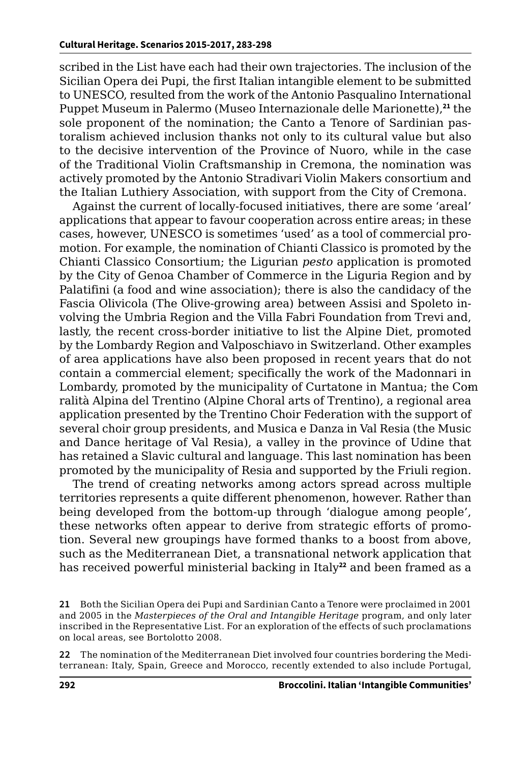scribed in the List have each had their own trajectories. The inclusion of the Sicilian Opera dei Pupi, the first Italian intangible element to be submitted to UNESCO, resulted from the work of the Antonio Pasqualino International Puppet Museum in Palermo (Museo Internazionale delle Marionette),**<sup>21</sup>** the sole proponent of the nomination; the Canto a Tenore of Sardinian pastoralism achieved inclusion thanks not only to its cultural value but also to the decisive intervention of the Province of Nuoro, while in the case of the Traditional Violin Craftsmanship in Cremona, the nomination was actively promoted by the Antonio Stradivari Violin Makers consortium and the Italian Luthiery Association, with support from the City of Cremona.

Against the current of locally-focused initiatives, there are some 'areal' applications that appear to favour cooperation across entire areas; in these cases, however, UNESCO is sometimes 'used' as a tool of commercial promotion. For example, the nomination of Chianti Classico is promoted by the Chianti Classico Consortium; the Ligurian *pesto* application is promoted by the City of Genoa Chamber of Commerce in the Liguria Region and by Palatifini (a food and wine association); there is also the candidacy of the Fascia Olivicola (The Olive-growing area) between Assisi and Spoleto involving the Umbria Region and the Villa Fabri Foundation from Trevi and, lastly, the recent cross-border initiative to list the Alpine Diet, promoted by the Lombardy Region and Valposchiavo in Switzerland. Other examples of area applications have also been proposed in recent years that do not contain a commercial element; specifically the work of the Madonnari in Lombardy, promoted by the municipality of Curtatone in Mantua; the Comralità Alpina del Trentino (Alpine Choral arts of Trentino), a regional area application presented by the Trentino Choir Federation with the support of several choir group presidents, and Musica e Danza in Val Resia (the Music and Dance heritage of Val Resia), a valley in the province of Udine that has retained a Slavic cultural and language. This last nomination has been promoted by the municipality of Resia and supported by the Friuli region.

The trend of creating networks among actors spread across multiple territories represents a quite different phenomenon, however. Rather than being developed from the bottom-up through 'dialogue among people', these networks often appear to derive from strategic efforts of promotion. Several new groupings have formed thanks to a boost from above, such as the Mediterranean Diet, a transnational network application that has received powerful ministerial backing in Italy<sup>22</sup> and been framed as a

**<sup>21</sup>** Both the Sicilian Opera dei Pupi and Sardinian Canto a Tenore were proclaimed in 2001 and 2005 in the *Masterpieces of the Oral and Intangible Heritage* program, and only later inscribed in the Representative List. For an exploration of the effects of such proclamations on local areas, see Bortolotto 2008.

**<sup>22</sup>** The nomination of the Mediterranean Diet involved four countries bordering the Mediterranean: Italy, Spain, Greece and Morocco, recently extended to also include Portugal,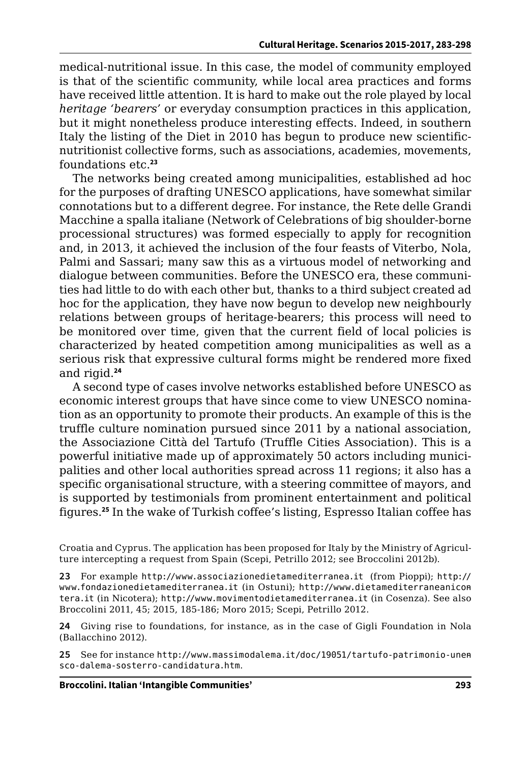medical-nutritional issue. In this case, the model of community employed is that of the scientific community, while local area practices and forms have received little attention. It is hard to make out the role played by local *heritage 'bearers'* or everyday consumption practices in this application, but it might nonetheless produce interesting effects. Indeed, in southern Italy the listing of the Diet in 2010 has begun to produce new scientificnutritionist collective forms, such as associations, academies, movements, foundations etc.**<sup>23</sup>**

The networks being created among municipalities, established ad hoc for the purposes of drafting UNESCO applications, have somewhat similar connotations but to a different degree. For instance, the Rete delle Grandi Macchine a spalla italiane (Network of Celebrations of big shoulder-borne processional structures) was formed especially to apply for recognition and, in 2013, it achieved the inclusion of the four feasts of Viterbo, Nola, Palmi and Sassari; many saw this as a virtuous model of networking and dialogue between communities. Before the UNESCO era, these communities had little to do with each other but, thanks to a third subject created ad hoc for the application, they have now begun to develop new neighbourly relations between groups of heritage-bearers; this process will need to be monitored over time, given that the current field of local policies is characterized by heated competition among municipalities as well as a serious risk that expressive cultural forms might be rendered more fixed and rigid.**<sup>24</sup>**

A second type of cases involve networks established before UNESCO as economic interest groups that have since come to view UNESCO nomination as an opportunity to promote their products. An example of this is the truffle culture nomination pursued since 2011 by a national association, the Associazione Città del Tartufo (Truffle Cities Association). This is a powerful initiative made up of approximately 50 actors including municipalities and other local authorities spread across 11 regions; it also has a specific organisational structure, with a steering committee of mayors, and is supported by testimonials from prominent entertainment and political figures.**<sup>25</sup>** In the wake of Turkish coffee's listing, Espresso Italian coffee has

Croatia and Cyprus. The application has been proposed for Italy by the Ministry of Agriculture intercepting a request from Spain (Scepi, Petrillo 2012; see Broccolini 2012b).

**23** For example http:/[/www.associazionedietamediterranea.it](http://www.associazionedietamediterranea.it) (from Pioppi); http:// [www.fondazionedietamediterranea.it](http://www.fondazionedietamediterranea.it) (in Ostuni); http://[www.dietamediterraneanicon](http://www.dietamediterraneanicotera.it)[tera.it](http://www.dietamediterraneanicotera.it) (in Nicotera); http://[www.movimentodietamediterranea.it](http://www.movimentodietamediterranea.it) (in Cosenza). See also Broccolini 2011, 45; 2015, 185-186; Moro 2015; Scepi, Petrillo 2012.

**24** Giving rise to foundations, for instance, as in the case of Gigli Foundation in Nola (Ballacchino 2012).

**25** See for instance http:/[/www.massimodalema.it/doc/19051/tartufo-patrimonio-unen](http://www.massimodalema.it/doc/19051/tartufo-patrimonio-unesco-dalema-sosterro-candidatura.htm)[sco-dalema-sosterro-candidatura.htm](http://www.massimodalema.it/doc/19051/tartufo-patrimonio-unesco-dalema-sosterro-candidatura.htm).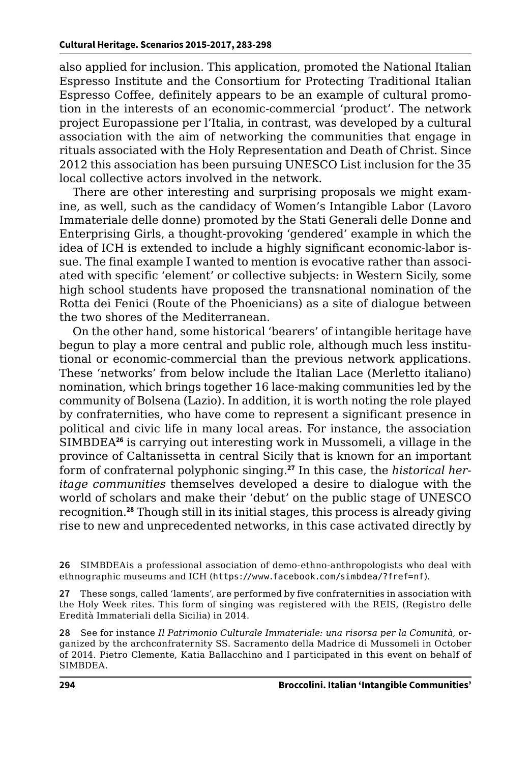also applied for inclusion. This application, promoted the National Italian Espresso Institute and the Consortium for Protecting Traditional Italian Espresso Coffee, definitely appears to be an example of cultural promotion in the interests of an economic-commercial 'product'. The network project Europassione per l'Italia, in contrast, was developed by a cultural association with the aim of networking the communities that engage in rituals associated with the Holy Representation and Death of Christ. Since 2012 this association has been pursuing UNESCO List inclusion for the 35 local collective actors involved in the network.

There are other interesting and surprising proposals we might examine, as well, such as the candidacy of Women's Intangible Labor (Lavoro Immateriale delle donne) promoted by the Stati Generali delle Donne and Enterprising Girls, a thought-provoking 'gendered' example in which the idea of ICH is extended to include a highly significant economic-labor issue. The final example I wanted to mention is evocative rather than associated with specific 'element' or collective subjects: in Western Sicily, some high school students have proposed the transnational nomination of the Rotta dei Fenici (Route of the Phoenicians) as a site of dialogue between the two shores of the Mediterranean.

On the other hand, some historical 'bearers' of intangible heritage have begun to play a more central and public role, although much less institutional or economic-commercial than the previous network applications. These 'networks' from below include the Italian Lace (Merletto italiano) nomination, which brings together 16 lace-making communities led by the community of Bolsena (Lazio). In addition, it is worth noting the role played by confraternities, who have come to represent a significant presence in political and civic life in many local areas. For instance, the association SIMBDEA**<sup>26</sup>** is carrying out interesting work in Mussomeli, a village in the province of Caltanissetta in central Sicily that is known for an important form of confraternal polyphonic singing.**27** In this case, the *historical heritage communities* themselves developed a desire to dialogue with the world of scholars and make their 'debut' on the public stage of UNESCO recognition.**<sup>28</sup>** Though still in its initial stages, this process is already giving rise to new and unprecedented networks, in this case activated directly by

**26** SIMBDEAis a professional association of demo-ethno-anthropologists who deal with ethnographic museums and ICH ([https://www.facebook.com/simbdea/?fref=nf](https://www.facebook.com/simbdea/?fref=nf).)).

**27** These songs, called 'laments', are performed by five confraternities in association with the Holy Week rites. This form of singing was registered with the REIS, (Registro delle Eredità Immateriali della Sicilia) in 2014.

**28** See for instance *Il Patrimonio Culturale Immateriale: una risorsa per la Comunità*, organized by the archconfraternity SS. Sacramento della Madrice di Mussomeli in October of 2014. Pietro Clemente, Katia Ballacchino and I participated in this event on behalf of SIMBDEA.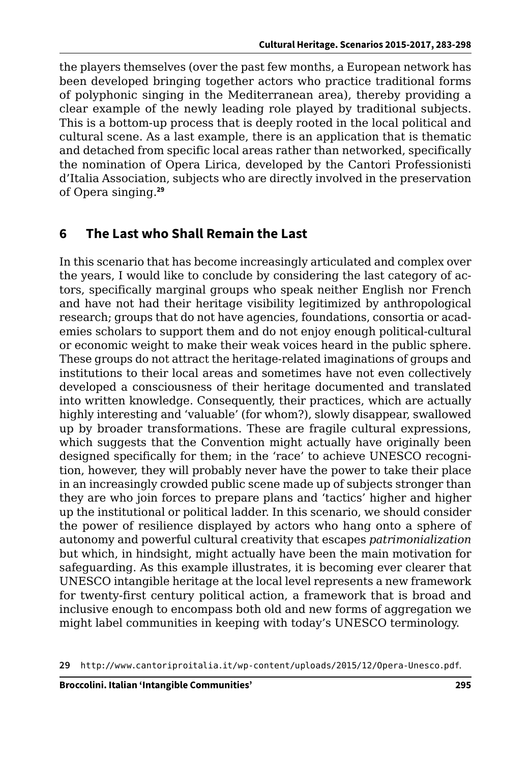the players themselves (over the past few months, a European network has been developed bringing together actors who practice traditional forms of polyphonic singing in the Mediterranean area), thereby providing a clear example of the newly leading role played by traditional subjects. This is a bottom-up process that is deeply rooted in the local political and cultural scene. As a last example, there is an application that is thematic and detached from specific local areas rather than networked, specifically the nomination of Opera Lirica, developed by the Cantori Professionisti d'Italia Association, subjects who are directly involved in the preservation of Opera singing.**<sup>29</sup>**

## **6 The Last who Shall Remain the Last**

In this scenario that has become increasingly articulated and complex over the years, I would like to conclude by considering the last category of actors, specifically marginal groups who speak neither English nor French and have not had their heritage visibility legitimized by anthropological research; groups that do not have agencies, foundations, consortia or academies scholars to support them and do not enjoy enough political-cultural or economic weight to make their weak voices heard in the public sphere. These groups do not attract the heritage-related imaginations of groups and institutions to their local areas and sometimes have not even collectively developed a consciousness of their heritage documented and translated into written knowledge. Consequently, their practices, which are actually highly interesting and 'valuable' (for whom?), slowly disappear, swallowed up by broader transformations. These are fragile cultural expressions, which suggests that the Convention might actually have originally been designed specifically for them; in the 'race' to achieve UNESCO recognition, however, they will probably never have the power to take their place in an increasingly crowded public scene made up of subjects stronger than they are who join forces to prepare plans and 'tactics' higher and higher up the institutional or political ladder. In this scenario, we should consider the power of resilience displayed by actors who hang onto a sphere of autonomy and powerful cultural creativity that escapes *patrimonialization*  but which, in hindsight, might actually have been the main motivation for safeguarding. As this example illustrates, it is becoming ever clearer that UNESCO intangible heritage at the local level represents a new framework for twenty-first century political action, a framework that is broad and inclusive enough to encompass both old and new forms of aggregation we might label communities in keeping with today's UNESCO terminology.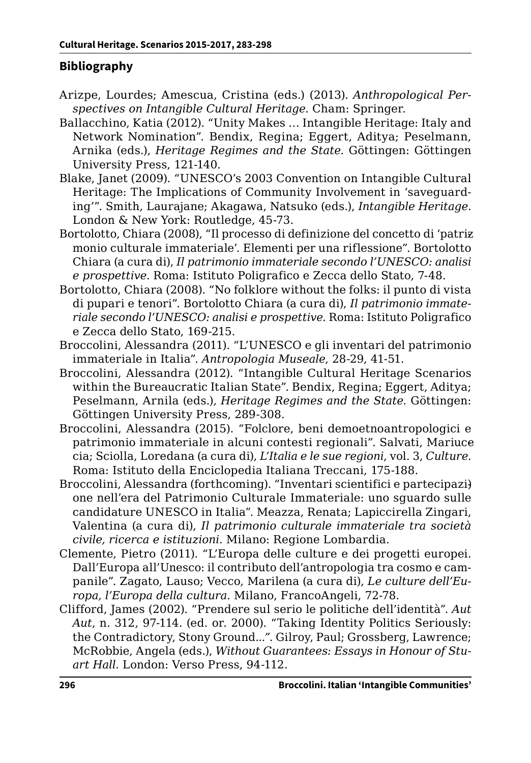### **Bibliography**

- Arizpe, Lourdes; Amescua, Cristina (eds.) (2013). *Anthropological Perspectives on Intangible Cultural Heritage*. Cham: Springer.
- Ballacchino, Katia (2012). "Unity Makes … Intangible Heritage: Italy and Network Nomination". Bendix, Regina; Eggert, Aditya; Peselmann, Arnika (eds.), *Heritage Regimes and the State*. Göttingen: Göttingen University Press, 121-140.
- Blake, Janet (2009). "UNESCO's 2003 Convention on Intangible Cultural Heritage: The Implications of Community Involvement in 'saveguarding'". Smith, Laurajane; Akagawa, Natsuko (eds.), *Intangible Heritage*. London & New York: Routledge, 45-73.
- Bortolotto, Chiara (2008), "Il processo di definizione del concetto di 'patriz monio culturale immateriale'. Elementi per una riflessione". Bortolotto Chiara (a cura di), *Il patrimonio immateriale secondo l'UNESCO: analisi e prospettive*. Roma: Istituto Poligrafico e Zecca dello Stato, 7-48.
- Bortolotto, Chiara (2008). "No folklore without the folks: il punto di vista di pupari e tenori". Bortolotto Chiara (a cura di), *Il patrimonio immateriale secondo l'UNESCO: analisi e prospettive*. Roma: Istituto Poligrafico e Zecca dello Stato, 169-215.
- Broccolini, Alessandra (2011). "L'UNESCO e gli inventari del patrimonio immateriale in Italia". *Antropologia Museale*, 28-29, 41-51.
- Broccolini, Alessandra (2012). "Intangible Cultural Heritage Scenarios within the Bureaucratic Italian State". Bendix, Regina; Eggert, Aditya; Peselmann, Arnila (eds.), *Heritage Regimes and the State*. Göttingen: Göttingen University Press, 289-308.
- Broccolini, Alessandra (2015). "Folclore, beni demoetnoantropologici e patrimonio immateriale in alcuni contesti regionali". Salvati, Mariucecia; Sciolla, Loredana (a cura di), *L'Italia e le sue regioni*, vol. 3, *Culture*. Roma: Istituto della Enciclopedia Italiana Treccani, 175-188.
- Broccolini, Alessandra (forthcoming). "Inventari scientifici e partecipazi) one nell'era del Patrimonio Culturale Immateriale: uno sguardo sulle candidature UNESCO in Italia". Meazza, Renata; Lapiccirella Zingari, Valentina (a cura di), *Il patrimonio culturale immateriale tra società civile, ricerca e istituzioni*. Milano: Regione Lombardia.
- Clemente, Pietro (2011). "L'Europa delle culture e dei progetti europei. Dall'Europa all'Unesco: il contributo dell'antropologia tra cosmo e campanile". Zagato, Lauso; Vecco, Marilena (a cura di), *Le culture dell'Europa, l'Europa della cultura*. Milano, FrancoAngeli, 72-78.
- Clifford, James (2002). "Prendere sul serio le politiche dell'identità". *Aut Aut*, n. 312, 97-114. (ed. or. 2000). "Taking Identity Politics Seriously: the Contradictory, Stony Ground*..."*. Gilroy, Paul; Grossberg, Lawrence; McRobbie, Angela (eds.), *Without Guarantees: Essays in Honour of Stuart Hall*. London: Verso Press, 94-112.